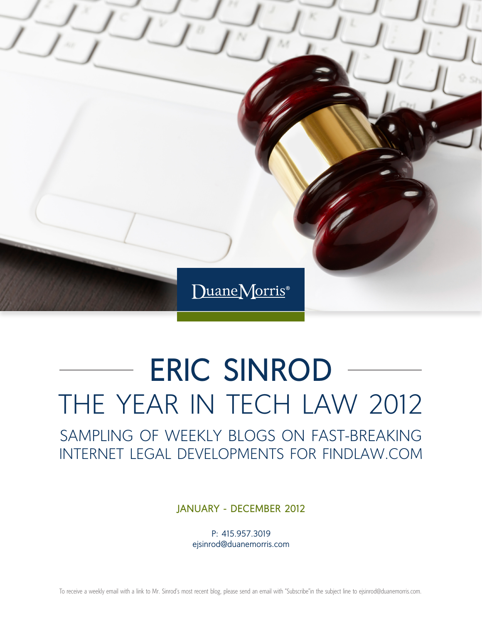

# **ERIC SINROD** THE YEAR IN TECH LAW 2012

SAMPLING OF WEEKLY BLOGS ON FAST-BREAKING INTERNET LEGAL DEVELOPMENTS FOR FINDLAW.COM

**JANUARY - DECEMBER 2012**

P: 415.957.3019 ejsinrod@duanemorris.com

To receive a weekly email with a link to Mr. Sinrod's most recent blog, please send an email with "Subscribe"in the subject line to ejsinrod@duanemorris.com.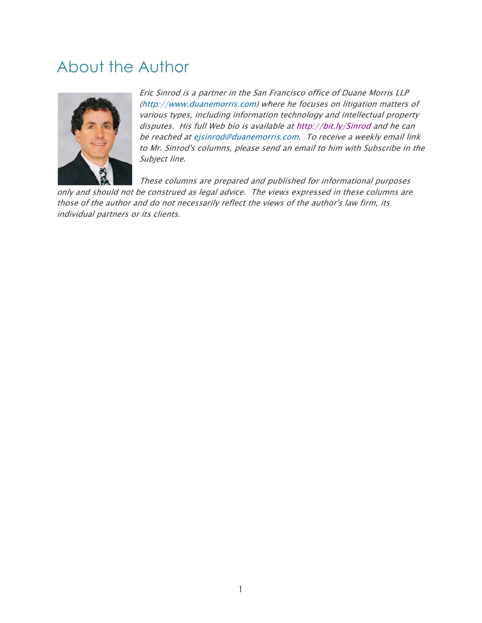#### About the Author



Eric Sinrod is a partner in the San Francisco office of Duane Morris LLP (http://www.duanemorris.com) where he focuses on litigation matters of various types, including information technology and intellectual property disputes. His full Web bio is available at http://bit.ly/Sinrod and he can be reached at ejsinrod@duanemorris.com. To receive a weekly email link to Mr. Sinrod's columns, please send an email to him with Subscribe in the Subject line e.

only and should not be construed as legal advice. The views expressed in these columns are These columns are prepared and published for informational purposes

those of the author and do not necessarily reflect the views of the author's law firm, its individual partners or its clients.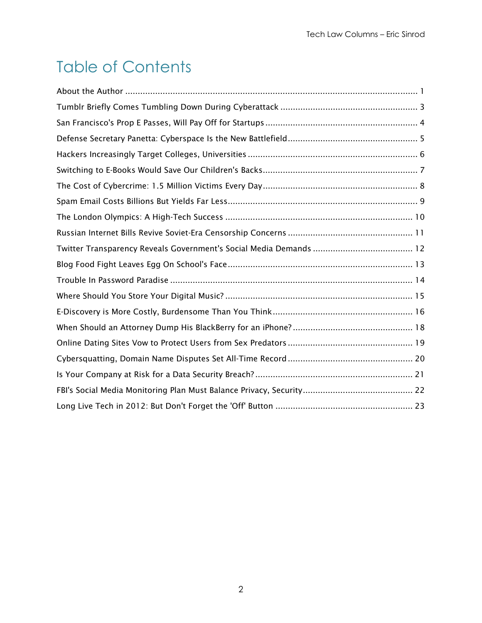## Table of Contents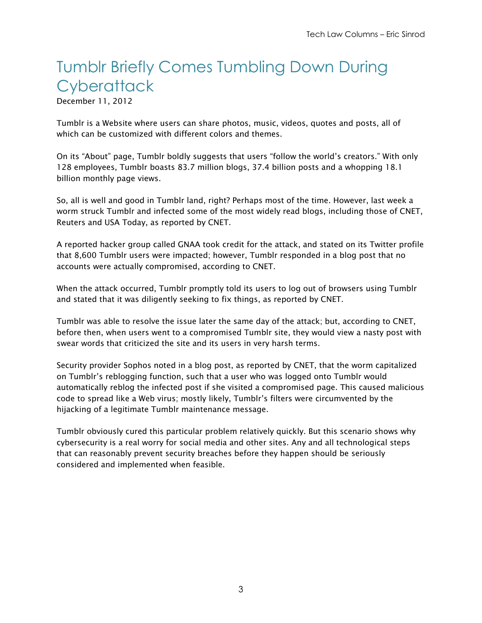## Tumblr Briefly Comes Tumbling Down During **Cyberattack**

December 11, 2012

Tumblr is a Website where users can share photos, music, videos, quotes and posts, all of which can be customized with different colors and themes.

On its "About" page, Tumblr boldly suggests that users "follow the world's creators." With only 128 employees, Tumblr boasts 83.7 million blogs, 37.4 billion posts and a whopping 18.1 billion monthly page views.

So, all is well and good in Tumblr land, right? Perhaps most of the time. However, last week a worm struck Tumblr and infected some of the most widely read blogs, including those of CNET, Reuters and USA Today, as reported by CNET.

A reported hacker group called GNAA took credit for the attack, and stated on its Twitter profile that 8,600 Tumblr users were impacted; however, Tumblr responded in a blog post that no accounts were actually compromised, according to CNET.

When the attack occurred, Tumblr promptly told its users to log out of browsers using Tumblr and stated that it was diligently seeking to fix things, as reported by CNET.

Tumblr was able to resolve the issue later the same day of the attack; but, according to CNET, before then, when users went to a compromised Tumblr site, they would view a nasty post with swear words that criticized the site and its users in very harsh terms.

Security provider Sophos noted in a blog post, as reported by CNET, that the worm capitalized on Tumblr's reblogging function, such that a user who was logged onto Tumblr would automatically reblog the infected post if she visited a compromised page. This caused malicious code to spread like a Web virus; mostly likely, Tumblr's filters were circumvented by the hijacking of a legitimate Tumblr maintenance message.

Tumblr obviously cured this particular problem relatively quickly. But this scenario shows why cybersecurity is a real worry for social media and other sites. Any and all technological steps that can reasonably prevent security breaches before they happen should be seriously considered and implemented when feasible.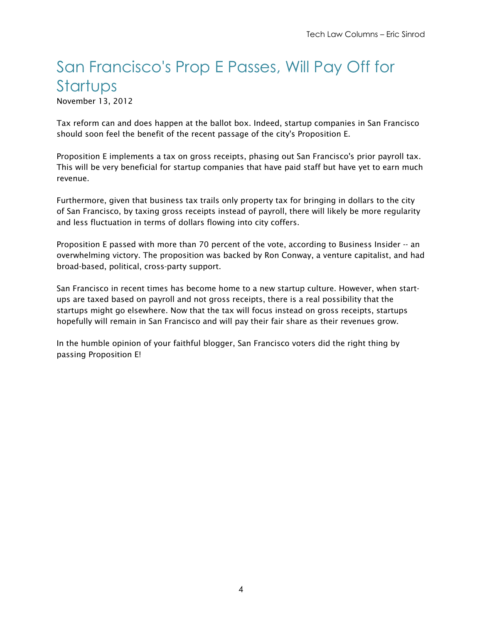#### San Francisco's Prop E Passes, Will Pay Off for **Startups**

November 13, 2012

Tax reform can and does happen at the ballot box. Indeed, startup companies in San Francisco should soon feel the benefit of the recent passage of the city's Proposition E.

Proposition E implements a tax on gross receipts, phasing out San Francisco's prior payroll tax. This will be very beneficial for startup companies that have paid staff but have yet to earn much revenue.

Furthermore, given that business tax trails only property tax for bringing in dollars to the city of San Francisco, by taxing gross receipts instead of payroll, there will likely be more regularity and less fluctuation in terms of dollars flowing into city coffers.

Proposition E passed with more than 70 percent of the vote, according to Business Insider -- an overwhelming victory. The proposition was backed by Ron Conway, a venture capitalist, and had broad-based, political, cross-party support.

San Francisco in recent times has become home to a new startup culture. However, when startups are taxed based on payroll and not gross receipts, there is a real possibility that the startups might go elsewhere. Now that the tax will focus instead on gross receipts, startups hopefully will remain in San Francisco and will pay their fair share as their revenues grow.

In the humble opinion of your faithful blogger, San Francisco voters did the right thing by passing Proposition E!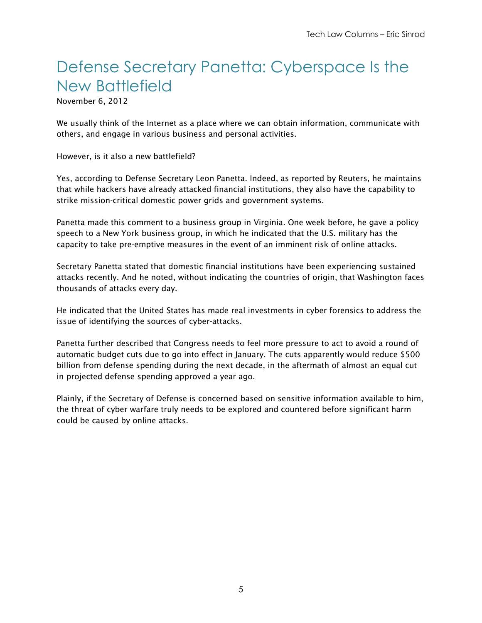### Defense Secretary Panetta: Cyberspace Is the New Battlefield

November 6, 2012

We usually think of the Internet as a place where we can obtain information, communicate with others, and engage in various business and personal activities.

However, is it also a new battlefield?

Yes, according to Defense Secretary Leon Panetta. Indeed, as reported by Reuters, he maintains that while hackers have already attacked financial institutions, they also have the capability to strike mission-critical domestic power grids and government systems.

Panetta made this comment to a business group in Virginia. One week before, he gave a policy speech to a New York business group, in which he indicated that the U.S. military has the capacity to take pre-emptive measures in the event of an imminent risk of online attacks.

Secretary Panetta stated that domestic financial institutions have been experiencing sustained attacks recently. And he noted, without indicating the countries of origin, that Washington faces thousands of attacks every day.

He indicated that the United States has made real investments in cyber forensics to address the issue of identifying the sources of cyber-attacks.

Panetta further described that Congress needs to feel more pressure to act to avoid a round of automatic budget cuts due to go into effect in January. The cuts apparently would reduce \$500 billion from defense spending during the next decade, in the aftermath of almost an equal cut in projected defense spending approved a year ago.

Plainly, if the Secretary of Defense is concerned based on sensitive information available to him, the threat of cyber warfare truly needs to be explored and countered before significant harm could be caused by online attacks.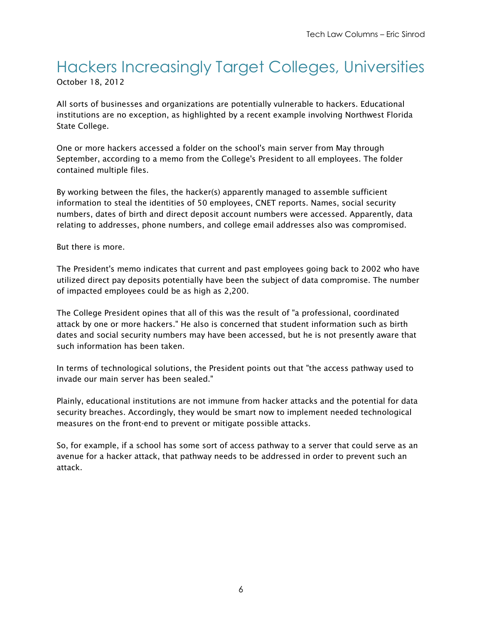#### Hackers Increasingly Target Colleges, Universities October 18, 2012

All sorts of businesses and organizations are potentially vulnerable to hackers. Educational institutions are no exception, as highlighted by a recent example involving Northwest Florida State College.

One or more hackers accessed a folder on the school's main server from May through September, according to a memo from the College's President to all employees. The folder contained multiple files.

By working between the files, the hacker(s) apparently managed to assemble sufficient information to steal the identities of 50 employees, CNET reports. Names, social security numbers, dates of birth and direct deposit account numbers were accessed. Apparently, data relating to addresses, phone numbers, and college email addresses also was compromised.

But there is more.

The President's memo indicates that current and past employees going back to 2002 who have utilized direct pay deposits potentially have been the subject of data compromise. The number of impacted employees could be as high as 2,200.

The College President opines that all of this was the result of "a professional, coordinated attack by one or more hackers." He also is concerned that student information such as birth dates and social security numbers may have been accessed, but he is not presently aware that such information has been taken.

In terms of technological solutions, the President points out that "the access pathway used to invade our main server has been sealed."

Plainly, educational institutions are not immune from hacker attacks and the potential for data security breaches. Accordingly, they would be smart now to implement needed technological measures on the front-end to prevent or mitigate possible attacks.

So, for example, if a school has some sort of access pathway to a server that could serve as an avenue for a hacker attack, that pathway needs to be addressed in order to prevent such an attack.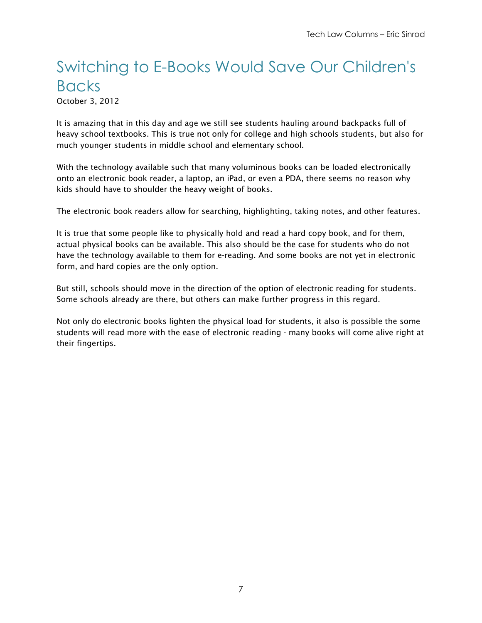#### Switching to E-Books Would Save Our Children's Backs

October 3, 2012

It is amazing that in this day and age we still see students hauling around backpacks full of heavy school textbooks. This is true not only for college and high schools students, but also for much younger students in middle school and elementary school.

With the technology available such that many voluminous books can be loaded electronically onto an electronic book reader, a laptop, an iPad, or even a PDA, there seems no reason why kids should have to shoulder the heavy weight of books.

The electronic book readers allow for searching, highlighting, taking notes, and other features.

It is true that some people like to physically hold and read a hard copy book, and for them, actual physical books can be available. This also should be the case for students who do not have the technology available to them for e-reading. And some books are not yet in electronic form, and hard copies are the only option.

But still, schools should move in the direction of the option of electronic reading for students. Some schools already are there, but others can make further progress in this regard.

Not only do electronic books lighten the physical load for students, it also is possible the some students will read more with the ease of electronic reading - many books will come alive right at their fingertips.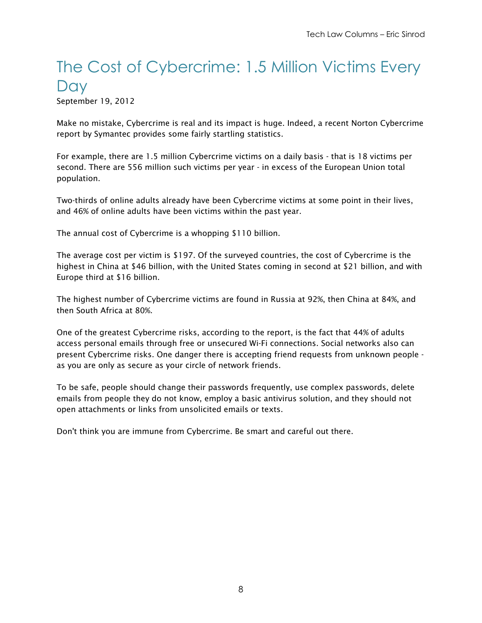#### The Cost of Cybercrime: 1.5 Million Victims Every **Day**

September 19, 2012

Make no mistake, Cybercrime is real and its impact is huge. Indeed, a recent Norton Cybercrime report by Symantec provides some fairly startling statistics.

For example, there are 1.5 million Cybercrime victims on a daily basis - that is 18 victims per second. There are 556 million such victims per year - in excess of the European Union total population.

Two-thirds of online adults already have been Cybercrime victims at some point in their lives, and 46% of online adults have been victims within the past year.

The annual cost of Cybercrime is a whopping \$110 billion.

The average cost per victim is \$197. Of the surveyed countries, the cost of Cybercrime is the highest in China at \$46 billion, with the United States coming in second at \$21 billion, and with Europe third at \$16 billion.

The highest number of Cybercrime victims are found in Russia at 92%, then China at 84%, and then South Africa at 80%.

One of the greatest Cybercrime risks, according to the report, is the fact that 44% of adults access personal emails through free or unsecured Wi-Fi connections. Social networks also can present Cybercrime risks. One danger there is accepting friend requests from unknown people as you are only as secure as your circle of network friends.

To be safe, people should change their passwords frequently, use complex passwords, delete emails from people they do not know, employ a basic antivirus solution, and they should not open attachments or links from unsolicited emails or texts.

Don't think you are immune from Cybercrime. Be smart and careful out there.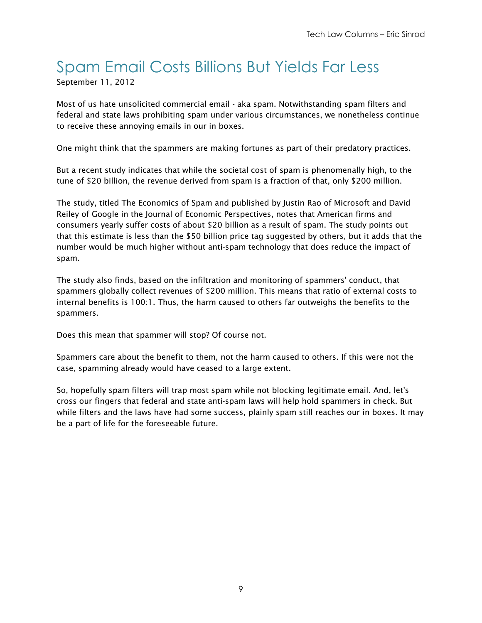#### Spam Email Costs Billions But Yields Far Less September 11, 2012

Most of us hate unsolicited commercial email - aka spam. Notwithstanding spam filters and federal and state laws prohibiting spam under various circumstances, we nonetheless continue to receive these annoying emails in our in boxes.

One might think that the spammers are making fortunes as part of their predatory practices.

But a recent study indicates that while the societal cost of spam is phenomenally high, to the tune of \$20 billion, the revenue derived from spam is a fraction of that, only \$200 million.

The study, titled The Economics of Spam and published by Justin Rao of Microsoft and David Reiley of Google in the Journal of Economic Perspectives, notes that American firms and consumers yearly suffer costs of about \$20 billion as a result of spam. The study points out that this estimate is less than the \$50 billion price tag suggested by others, but it adds that the number would be much higher without anti-spam technology that does reduce the impact of spam.

The study also finds, based on the infiltration and monitoring of spammers' conduct, that spammers globally collect revenues of \$200 million. This means that ratio of external costs to internal benefits is 100:1. Thus, the harm caused to others far outweighs the benefits to the spammers.

Does this mean that spammer will stop? Of course not.

Spammers care about the benefit to them, not the harm caused to others. If this were not the case, spamming already would have ceased to a large extent.

So, hopefully spam filters will trap most spam while not blocking legitimate email. And, let's cross our fingers that federal and state anti-spam laws will help hold spammers in check. But while filters and the laws have had some success, plainly spam still reaches our in boxes. It may be a part of life for the foreseeable future.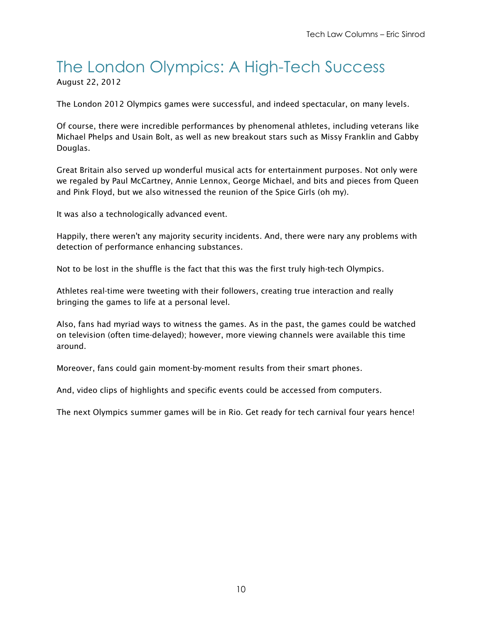## The London Olympics: A High-Tech Success

August 22, 2012

The London 2012 Olympics games were successful, and indeed spectacular, on many levels.

Of course, there were incredible performances by phenomenal athletes, including veterans like Michael Phelps and Usain Bolt, as well as new breakout stars such as Missy Franklin and Gabby Douglas.

Great Britain also served up wonderful musical acts for entertainment purposes. Not only were we regaled by Paul McCartney, Annie Lennox, George Michael, and bits and pieces from Queen and Pink Floyd, but we also witnessed the reunion of the Spice Girls (oh my).

It was also a technologically advanced event.

Happily, there weren't any majority security incidents. And, there were nary any problems with detection of performance enhancing substances.

Not to be lost in the shuffle is the fact that this was the first truly high-tech Olympics.

Athletes real-time were tweeting with their followers, creating true interaction and really bringing the games to life at a personal level.

Also, fans had myriad ways to witness the games. As in the past, the games could be watched on television (often time-delayed); however, more viewing channels were available this time around.

Moreover, fans could gain moment-by-moment results from their smart phones.

And, video clips of highlights and specific events could be accessed from computers.

The next Olympics summer games will be in Rio. Get ready for tech carnival four years hence!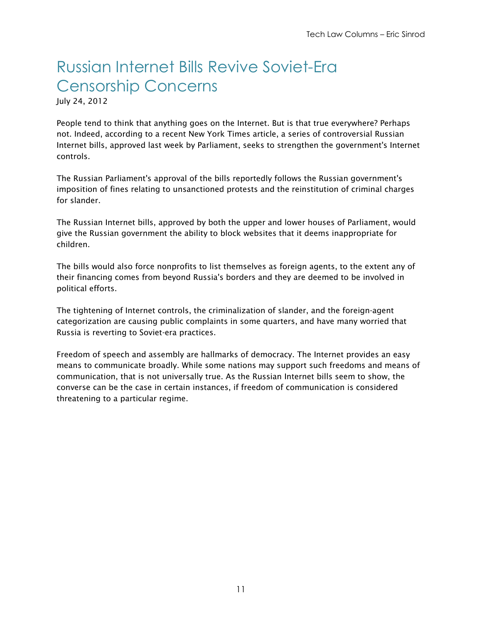## Russian Internet Bills Revive Soviet-Era Censorship Concerns

July 24, 2012

People tend to think that anything goes on the Internet. But is that true everywhere? Perhaps not. Indeed, according to a recent New York Times article, a series of controversial Russian Internet bills, approved last week by Parliament, seeks to strengthen the government's Internet controls.

The Russian Parliament's approval of the bills reportedly follows the Russian government's imposition of fines relating to unsanctioned protests and the reinstitution of criminal charges for slander.

The Russian Internet bills, approved by both the upper and lower houses of Parliament, would give the Russian government the ability to block websites that it deems inappropriate for children.

The bills would also force nonprofits to list themselves as foreign agents, to the extent any of their financing comes from beyond Russia's borders and they are deemed to be involved in political efforts.

The tightening of Internet controls, the criminalization of slander, and the foreign-agent categorization are causing public complaints in some quarters, and have many worried that Russia is reverting to Soviet-era practices.

Freedom of speech and assembly are hallmarks of democracy. The Internet provides an easy means to communicate broadly. While some nations may support such freedoms and means of communication, that is not universally true. As the Russian Internet bills seem to show, the converse can be the case in certain instances, if freedom of communication is considered threatening to a particular regime.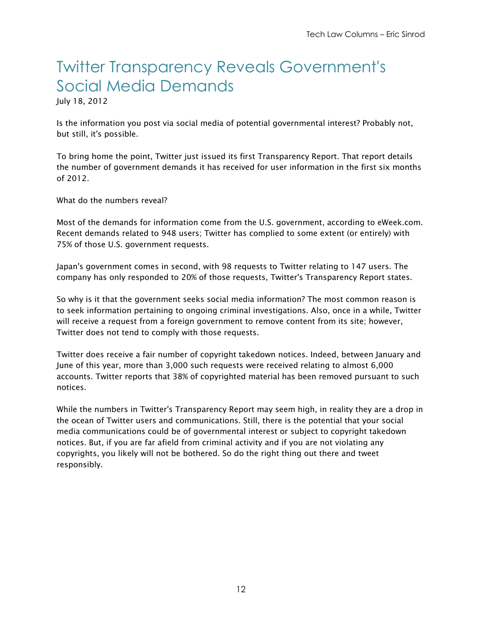#### Twitter Transparency Reveals Government's Social Media Demands

July 18, 2012

Is the information you post via social media of potential governmental interest? Probably not, but still, it's possible.

To bring home the point, Twitter just issued its first Transparency Report. That report details the number of government demands it has received for user information in the first six months of 2012.

What do the numbers reveal?

Most of the demands for information come from the U.S. government, according to eWeek.com. Recent demands related to 948 users; Twitter has complied to some extent (or entirely) with 75% of those U.S. government requests.

Japan's government comes in second, with 98 requests to Twitter relating to 147 users. The company has only responded to 20% of those requests, Twitter's Transparency Report states.

So why is it that the government seeks social media information? The most common reason is to seek information pertaining to ongoing criminal investigations. Also, once in a while, Twitter will receive a request from a foreign government to remove content from its site; however, Twitter does not tend to comply with those requests.

Twitter does receive a fair number of copyright takedown notices. Indeed, between January and June of this year, more than 3,000 such requests were received relating to almost 6,000 accounts. Twitter reports that 38% of copyrighted material has been removed pursuant to such notices.

While the numbers in Twitter's Transparency Report may seem high, in reality they are a drop in the ocean of Twitter users and communications. Still, there is the potential that your social media communications could be of governmental interest or subject to copyright takedown notices. But, if you are far afield from criminal activity and if you are not violating any copyrights, you likely will not be bothered. So do the right thing out there and tweet responsibly.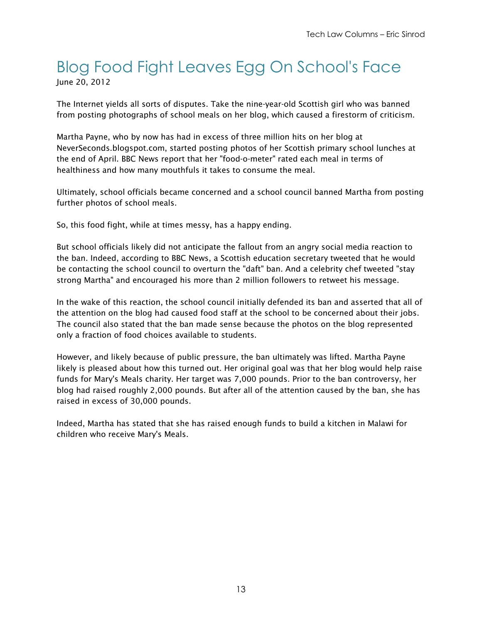#### Blog Food Fight Leaves Egg On School's Face June 20, 2012

The Internet yields all sorts of disputes. Take the nine-year-old Scottish girl who was banned from posting photographs of school meals on her blog, which caused a firestorm of criticism.

Martha Payne, who by now has had in excess of three million hits on her blog at NeverSeconds.blogspot.com, started posting photos of her Scottish primary school lunches at the end of April. BBC News report that her "food-o-meter" rated each meal in terms of healthiness and how many mouthfuls it takes to consume the meal.

Ultimately, school officials became concerned and a school council banned Martha from posting further photos of school meals.

So, this food fight, while at times messy, has a happy ending.

But school officials likely did not anticipate the fallout from an angry social media reaction to the ban. Indeed, according to BBC News, a Scottish education secretary tweeted that he would be contacting the school council to overturn the "daft" ban. And a celebrity chef tweeted "stay strong Martha" and encouraged his more than 2 million followers to retweet his message.

In the wake of this reaction, the school council initially defended its ban and asserted that all of the attention on the blog had caused food staff at the school to be concerned about their jobs. The council also stated that the ban made sense because the photos on the blog represented only a fraction of food choices available to students.

However, and likely because of public pressure, the ban ultimately was lifted. Martha Payne likely is pleased about how this turned out. Her original goal was that her blog would help raise funds for Mary's Meals charity. Her target was 7,000 pounds. Prior to the ban controversy, her blog had raised roughly 2,000 pounds. But after all of the attention caused by the ban, she has raised in excess of 30,000 pounds.

Indeed, Martha has stated that she has raised enough funds to build a kitchen in Malawi for children who receive Mary's Meals.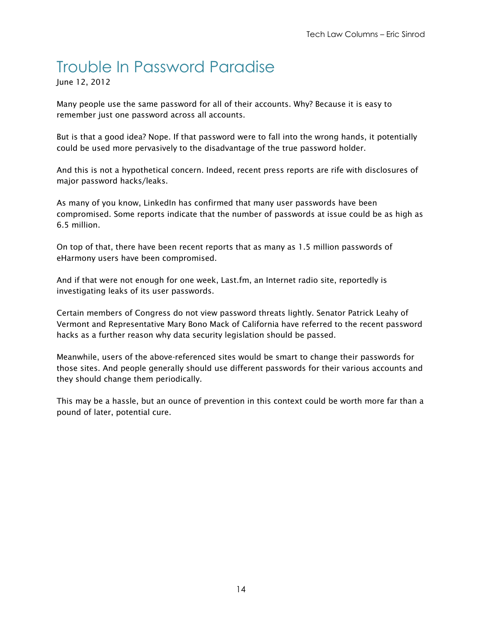#### Trouble In Password Paradise

June 12, 2012

Many people use the same password for all of their accounts. Why? Because it is easy to remember just one password across all accounts.

But is that a good idea? Nope. If that password were to fall into the wrong hands, it potentially could be used more pervasively to the disadvantage of the true password holder.

And this is not a hypothetical concern. Indeed, recent press reports are rife with disclosures of major password hacks/leaks.

As many of you know, LinkedIn has confirmed that many user passwords have been compromised. Some reports indicate that the number of passwords at issue could be as high as 6.5 million.

On top of that, there have been recent reports that as many as 1.5 million passwords of eHarmony users have been compromised.

And if that were not enough for one week, Last.fm, an Internet radio site, reportedly is investigating leaks of its user passwords.

Certain members of Congress do not view password threats lightly. Senator Patrick Leahy of Vermont and Representative Mary Bono Mack of California have referred to the recent password hacks as a further reason why data security legislation should be passed.

Meanwhile, users of the above-referenced sites would be smart to change their passwords for those sites. And people generally should use different passwords for their various accounts and they should change them periodically.

This may be a hassle, but an ounce of prevention in this context could be worth more far than a pound of later, potential cure.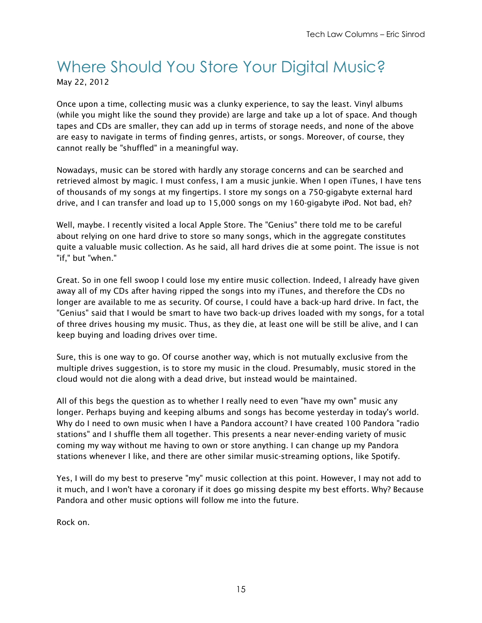#### Where Should You Store Your Digital Music? May 22, 2012

Once upon a time, collecting music was a clunky experience, to say the least. Vinyl albums (while you might like the sound they provide) are large and take up a lot of space. And though tapes and CDs are smaller, they can add up in terms of storage needs, and none of the above are easy to navigate in terms of finding genres, artists, or songs. Moreover, of course, they cannot really be "shuffled" in a meaningful way.

Nowadays, music can be stored with hardly any storage concerns and can be searched and retrieved almost by magic. I must confess, I am a music junkie. When I open iTunes, I have tens of thousands of my songs at my fingertips. I store my songs on a 750-gigabyte external hard drive, and I can transfer and load up to 15,000 songs on my 160-gigabyte iPod. Not bad, eh?

Well, maybe. I recently visited a local Apple Store. The "Genius" there told me to be careful about relying on one hard drive to store so many songs, which in the aggregate constitutes quite a valuable music collection. As he said, all hard drives die at some point. The issue is not "if," but "when."

Great. So in one fell swoop I could lose my entire music collection. Indeed, I already have given away all of my CDs after having ripped the songs into my iTunes, and therefore the CDs no longer are available to me as security. Of course, I could have a back-up hard drive. In fact, the "Genius" said that I would be smart to have two back-up drives loaded with my songs, for a total of three drives housing my music. Thus, as they die, at least one will be still be alive, and I can keep buying and loading drives over time.

Sure, this is one way to go. Of course another way, which is not mutually exclusive from the multiple drives suggestion, is to store my music in the cloud. Presumably, music stored in the cloud would not die along with a dead drive, but instead would be maintained.

All of this begs the question as to whether I really need to even "have my own" music any longer. Perhaps buying and keeping albums and songs has become yesterday in today's world. Why do I need to own music when I have a Pandora account? I have created 100 Pandora "radio stations" and I shuffle them all together. This presents a near never-ending variety of music coming my way without me having to own or store anything. I can change up my Pandora stations whenever I like, and there are other similar music-streaming options, like Spotify.

Yes, I will do my best to preserve "my" music collection at this point. However, I may not add to it much, and I won't have a coronary if it does go missing despite my best efforts. Why? Because Pandora and other music options will follow me into the future.

Rock on.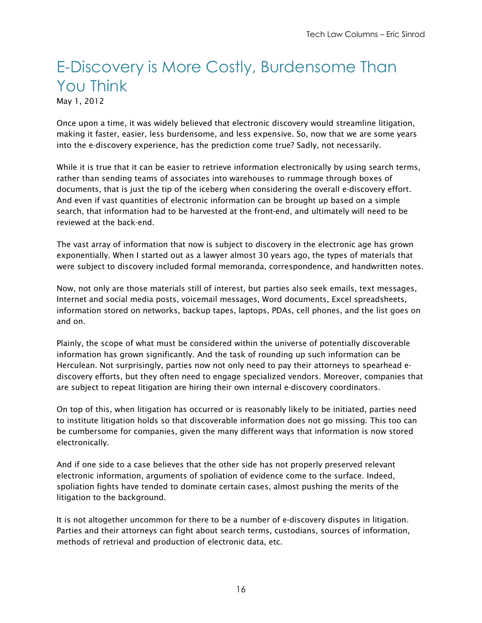## E-Discovery is More Costly, Burdensome Than You Think

May 1, 2012

Once upon a time, it was widely believed that electronic discovery would streamline litigation, making it faster, easier, less burdensome, and less expensive. So, now that we are some years into the e-discovery experience, has the prediction come true? Sadly, not necessarily.

While it is true that it can be easier to retrieve information electronically by using search terms, rather than sending teams of associates into warehouses to rummage through boxes of documents, that is just the tip of the iceberg when considering the overall e-discovery effort. And even if vast quantities of electronic information can be brought up based on a simple search, that information had to be harvested at the front-end, and ultimately will need to be reviewed at the back-end.

The vast array of information that now is subject to discovery in the electronic age has grown exponentially. When I started out as a lawyer almost 30 years ago, the types of materials that were subject to discovery included formal memoranda, correspondence, and handwritten notes.

Now, not only are those materials still of interest, but parties also seek emails, text messages, Internet and social media posts, voicemail messages, Word documents, Excel spreadsheets, information stored on networks, backup tapes, laptops, PDAs, cell phones, and the list goes on and on.

Plainly, the scope of what must be considered within the universe of potentially discoverable information has grown significantly. And the task of rounding up such information can be Herculean. Not surprisingly, parties now not only need to pay their attorneys to spearhead ediscovery efforts, but they often need to engage specialized vendors. Moreover, companies that are subject to repeat litigation are hiring their own internal e-discovery coordinators.

On top of this, when litigation has occurred or is reasonably likely to be initiated, parties need to institute litigation holds so that discoverable information does not go missing. This too can be cumbersome for companies, given the many different ways that information is now stored electronically.

And if one side to a case believes that the other side has not properly preserved relevant electronic information, arguments of spoliation of evidence come to the surface. Indeed, spoliation fights have tended to dominate certain cases, almost pushing the merits of the litigation to the background.

It is not altogether uncommon for there to be a number of e-discovery disputes in litigation. Parties and their attorneys can fight about search terms, custodians, sources of information, methods of retrieval and production of electronic data, etc.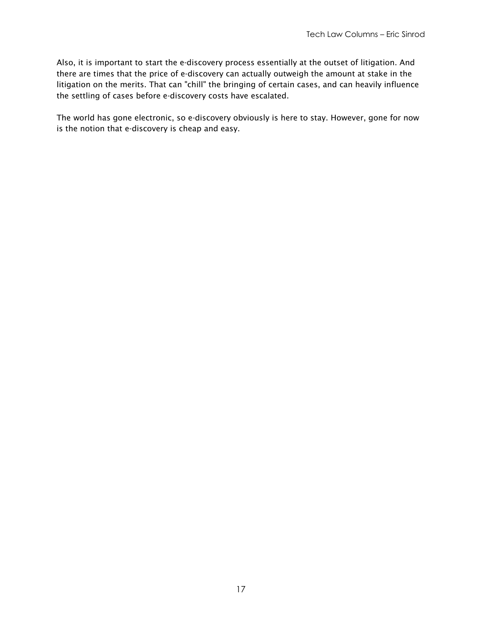Also, it is important to start the e-discovery process essentially at the outset of litigation. And there are times that the price of e-discovery can actually outweigh the amount at stake in the litigation on the merits. That can "chill" the bringing of certain cases, and can heavily influence the settling of cases before e-discovery costs have escalated.

The world has gone electronic, so e-discovery obviously is here to stay. However, gone for now is the notion that e-discovery is cheap and easy.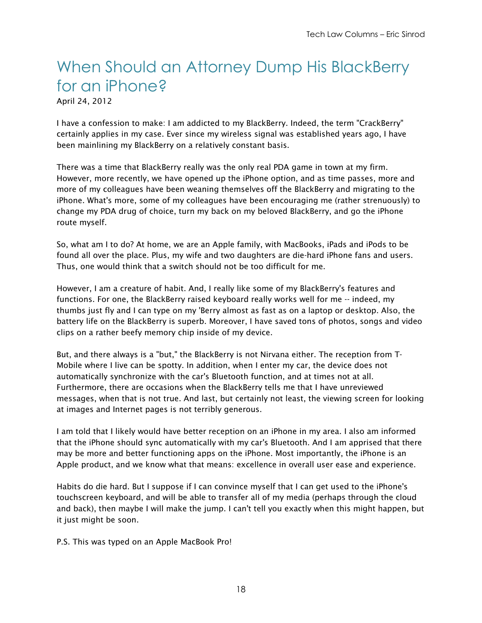#### When Should an Attorney Dump His BlackBerry for an iPhone?

April 24, 2012

I have a confession to make: I am addicted to my BlackBerry. Indeed, the term "CrackBerry" certainly applies in my case. Ever since my wireless signal was established years ago, I have been mainlining my BlackBerry on a relatively constant basis.

There was a time that BlackBerry really was the only real PDA game in town at my firm. However, more recently, we have opened up the iPhone option, and as time passes, more and more of my colleagues have been weaning themselves off the BlackBerry and migrating to the iPhone. What's more, some of my colleagues have been encouraging me (rather strenuously) to change my PDA drug of choice, turn my back on my beloved BlackBerry, and go the iPhone route myself.

So, what am I to do? At home, we are an Apple family, with MacBooks, iPads and iPods to be found all over the place. Plus, my wife and two daughters are die-hard iPhone fans and users. Thus, one would think that a switch should not be too difficult for me.

However, I am a creature of habit. And, I really like some of my BlackBerry's features and functions. For one, the BlackBerry raised keyboard really works well for me -- indeed, my thumbs just fly and I can type on my 'Berry almost as fast as on a laptop or desktop. Also, the battery life on the BlackBerry is superb. Moreover, I have saved tons of photos, songs and video clips on a rather beefy memory chip inside of my device.

But, and there always is a "but," the BlackBerry is not Nirvana either. The reception from T-Mobile where I live can be spotty. In addition, when I enter my car, the device does not automatically synchronize with the car's Bluetooth function, and at times not at all. Furthermore, there are occasions when the BlackBerry tells me that I have unreviewed messages, when that is not true. And last, but certainly not least, the viewing screen for looking at images and Internet pages is not terribly generous.

I am told that I likely would have better reception on an iPhone in my area. I also am informed that the iPhone should sync automatically with my car's Bluetooth. And I am apprised that there may be more and better functioning apps on the iPhone. Most importantly, the iPhone is an Apple product, and we know what that means: excellence in overall user ease and experience.

Habits do die hard. But I suppose if I can convince myself that I can get used to the iPhone's touchscreen keyboard, and will be able to transfer all of my media (perhaps through the cloud and back), then maybe I will make the jump. I can't tell you exactly when this might happen, but it just might be soon.

P.S. This was typed on an Apple MacBook Pro!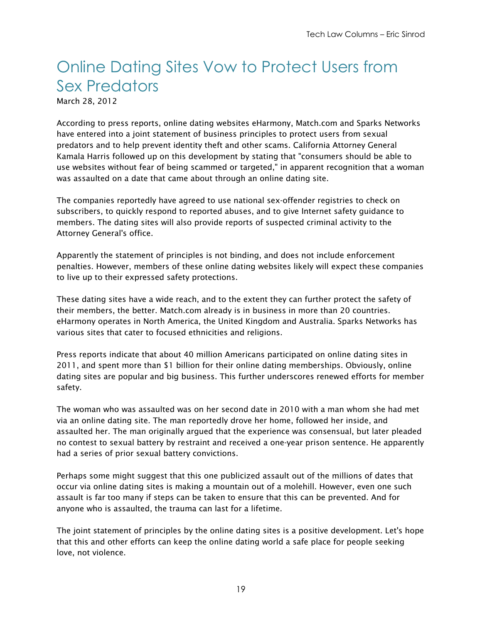#### Online Dating Sites Vow to Protect Users from Sex Predators

March 28, 2012

According to press reports, online dating websites eHarmony, Match.com and Sparks Networks have entered into a joint statement of business principles to protect users from sexual predators and to help prevent identity theft and other scams. California Attorney General Kamala Harris followed up on this development by stating that "consumers should be able to use websites without fear of being scammed or targeted," in apparent recognition that a woman was assaulted on a date that came about through an online dating site.

The companies reportedly have agreed to use national sex-offender registries to check on subscribers, to quickly respond to reported abuses, and to give Internet safety guidance to members. The dating sites will also provide reports of suspected criminal activity to the Attorney General's office.

Apparently the statement of principles is not binding, and does not include enforcement penalties. However, members of these online dating websites likely will expect these companies to live up to their expressed safety protections.

These dating sites have a wide reach, and to the extent they can further protect the safety of their members, the better. Match.com already is in business in more than 20 countries. eHarmony operates in North America, the United Kingdom and Australia. Sparks Networks has various sites that cater to focused ethnicities and religions.

Press reports indicate that about 40 million Americans participated on online dating sites in 2011, and spent more than \$1 billion for their online dating memberships. Obviously, online dating sites are popular and big business. This further underscores renewed efforts for member safety.

The woman who was assaulted was on her second date in 2010 with a man whom she had met via an online dating site. The man reportedly drove her home, followed her inside, and assaulted her. The man originally argued that the experience was consensual, but later pleaded no contest to sexual battery by restraint and received a one-year prison sentence. He apparently had a series of prior sexual battery convictions.

Perhaps some might suggest that this one publicized assault out of the millions of dates that occur via online dating sites is making a mountain out of a molehill. However, even one such assault is far too many if steps can be taken to ensure that this can be prevented. And for anyone who is assaulted, the trauma can last for a lifetime.

The joint statement of principles by the online dating sites is a positive development. Let's hope that this and other efforts can keep the online dating world a safe place for people seeking love, not violence.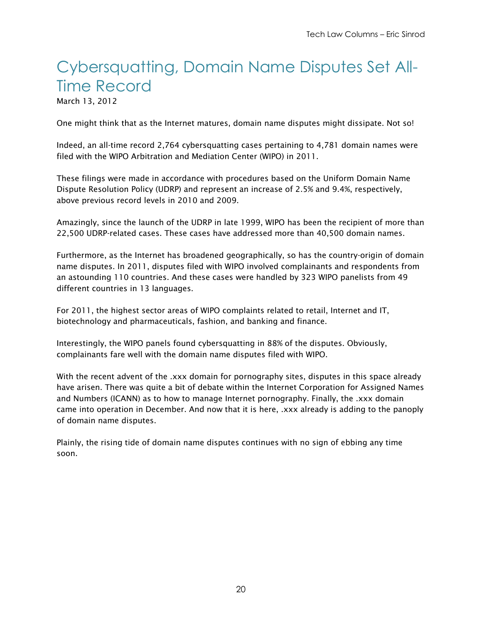### Cybersquatting, Domain Name Disputes Set All-Time Record

March 13, 2012

One might think that as the Internet matures, domain name disputes might dissipate. Not so!

Indeed, an all-time record 2,764 cybersquatting cases pertaining to 4,781 domain names were filed with the WIPO Arbitration and Mediation Center (WIPO) in 2011.

These filings were made in accordance with procedures based on the Uniform Domain Name Dispute Resolution Policy (UDRP) and represent an increase of 2.5% and 9.4%, respectively, above previous record levels in 2010 and 2009.

Amazingly, since the launch of the UDRP in late 1999, WIPO has been the recipient of more than 22,500 UDRP-related cases. These cases have addressed more than 40,500 domain names.

Furthermore, as the Internet has broadened geographically, so has the country-origin of domain name disputes. In 2011, disputes filed with WIPO involved complainants and respondents from an astounding 110 countries. And these cases were handled by 323 WIPO panelists from 49 different countries in 13 languages.

For 2011, the highest sector areas of WIPO complaints related to retail, Internet and IT, biotechnology and pharmaceuticals, fashion, and banking and finance.

Interestingly, the WIPO panels found cybersquatting in 88% of the disputes. Obviously, complainants fare well with the domain name disputes filed with WIPO.

With the recent advent of the .xxx domain for pornography sites, disputes in this space already have arisen. There was quite a bit of debate within the Internet Corporation for Assigned Names and Numbers (ICANN) as to how to manage Internet pornography. Finally, the .xxx domain came into operation in December. And now that it is here, .xxx already is adding to the panoply of domain name disputes.

Plainly, the rising tide of domain name disputes continues with no sign of ebbing any time soon.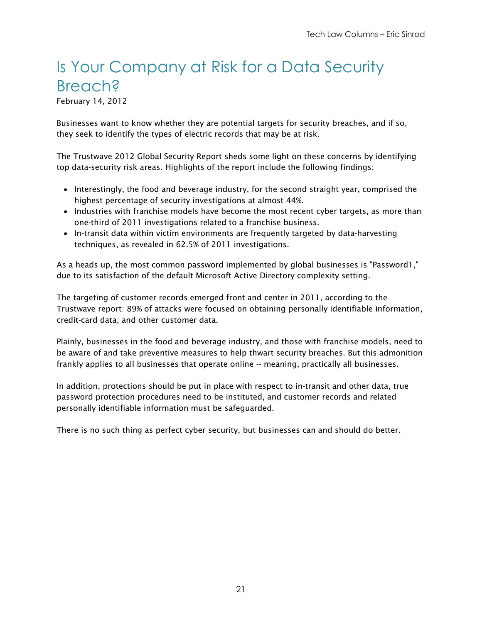#### Is Your Company at Risk for a Data Security **Breach?**

February 14, 2012

Businesses want to know whether they are potential targets for security breaches, and if so, they seek to identify the types of electric records that may be at risk.

The Trustwave 2012 Global Security Report sheds some light on these concerns by identifying top data-security risk areas. Highlights of the report include the following findings:

- Interestingly, the food and beverage industry, for the second straight year, comprised the highest percentage of security investigations at almost 44%.
- Industries with franchise models have become the most recent cyber targets, as more than one-third of 2011 investigations related to a franchise business.
- In-transit data within victim environments are frequently targeted by data-harvesting techniques, as revealed in 62.5% of 2011 investigations.

As a heads up, the most common password implemented by global businesses is "Password1," due to its satisfaction of the default Microsoft Active Directory complexity setting.

The targeting of customer records emerged front and center in 2011, according to the Trustwave report: 89% of attacks were focused on obtaining personally identifiable information, credit-card data, and other customer data.

Plainly, businesses in the food and beverage industry, and those with franchise models, need to be aware of and take preventive measures to help thwart security breaches. But this admonition frankly applies to all businesses that operate online -- meaning, practically all businesses.

In addition, protections should be put in place with respect to in-transit and other data, true password protection procedures need to be instituted, and customer records and related personally identifiable information must be safeguarded.

There is no such thing as perfect cyber security, but businesses can and should do better.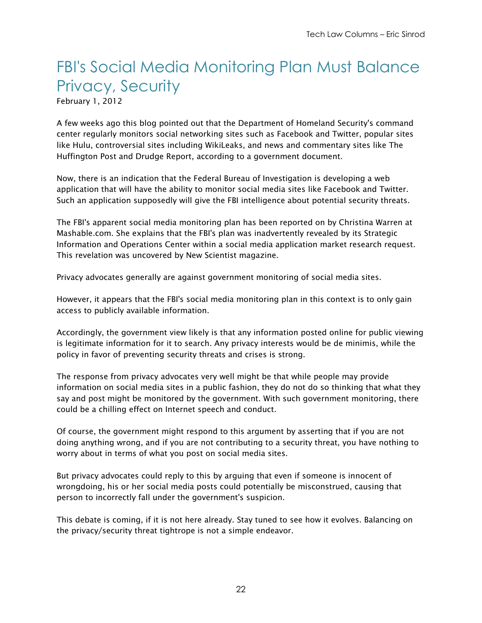### FBI's Social Media Monitoring Plan Must Balance Privacy, Security

February 1, 2012

A few weeks ago this blog pointed out that the Department of Homeland Security's command center regularly monitors social networking sites such as Facebook and Twitter, popular sites like Hulu, controversial sites including WikiLeaks, and news and commentary sites like The Huffington Post and Drudge Report, according to a government document.

Now, there is an indication that the Federal Bureau of Investigation is developing a web application that will have the ability to monitor social media sites like Facebook and Twitter. Such an application supposedly will give the FBI intelligence about potential security threats.

The FBI's apparent social media monitoring plan has been reported on by Christina Warren at Mashable.com. She explains that the FBI's plan was inadvertently revealed by its Strategic Information and Operations Center within a social media application market research request. This revelation was uncovered by New Scientist magazine.

Privacy advocates generally are against government monitoring of social media sites.

However, it appears that the FBI's social media monitoring plan in this context is to only gain access to publicly available information.

Accordingly, the government view likely is that any information posted online for public viewing is legitimate information for it to search. Any privacy interests would be de minimis, while the policy in favor of preventing security threats and crises is strong.

The response from privacy advocates very well might be that while people may provide information on social media sites in a public fashion, they do not do so thinking that what they say and post might be monitored by the government. With such government monitoring, there could be a chilling effect on Internet speech and conduct.

Of course, the government might respond to this argument by asserting that if you are not doing anything wrong, and if you are not contributing to a security threat, you have nothing to worry about in terms of what you post on social media sites.

But privacy advocates could reply to this by arguing that even if someone is innocent of wrongdoing, his or her social media posts could potentially be misconstrued, causing that person to incorrectly fall under the government's suspicion.

This debate is coming, if it is not here already. Stay tuned to see how it evolves. Balancing on the privacy/security threat tightrope is not a simple endeavor.